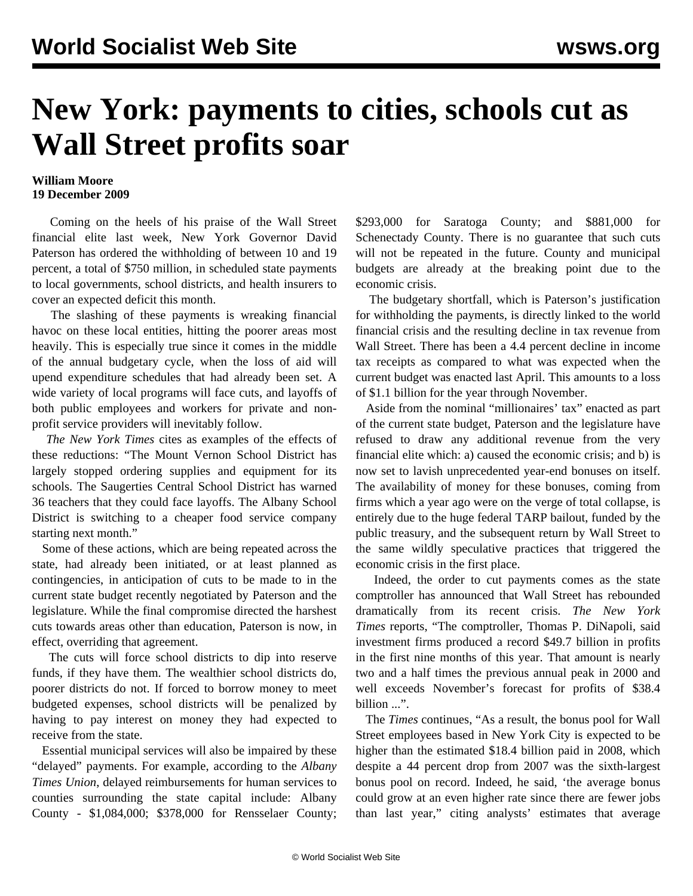## **New York: payments to cities, schools cut as Wall Street profits soar**

## **William Moore 19 December 2009**

 Coming on the heels of his praise of the Wall Street financial elite last week, New York Governor David Paterson has ordered the withholding of between 10 and 19 percent, a total of \$750 million, in scheduled state payments to local governments, school districts, and health insurers to cover an expected deficit this month.

 The slashing of these payments is wreaking financial havoc on these local entities, hitting the poorer areas most heavily. This is especially true since it comes in the middle of the annual budgetary cycle, when the loss of aid will upend expenditure schedules that had already been set. A wide variety of local programs will face cuts, and layoffs of both public employees and workers for private and nonprofit service providers will inevitably follow.

 *The New York Times* cites as examples of the effects of these reductions: "The Mount Vernon School District has largely stopped ordering supplies and equipment for its schools. The Saugerties Central School District has warned 36 teachers that they could face layoffs. The Albany School District is switching to a cheaper food service company starting next month."

 Some of these actions, which are being repeated across the state, had already been initiated, or at least planned as contingencies, in anticipation of cuts to be made to in the current state budget recently negotiated by Paterson and the legislature. While the final compromise directed the harshest cuts towards areas other than education, Paterson is now, in effect, overriding that agreement.

 The cuts will force school districts to dip into reserve funds, if they have them. The wealthier school districts do, poorer districts do not. If forced to borrow money to meet budgeted expenses, school districts will be penalized by having to pay interest on money they had expected to receive from the state.

 Essential municipal services will also be impaired by these "delayed" payments. For example, according to the *Albany Times Union*, delayed reimbursements for human services to counties surrounding the state capital include: Albany County - \$1,084,000; \$378,000 for Rensselaer County; \$293,000 for Saratoga County; and \$881,000 for Schenectady County. There is no guarantee that such cuts will not be repeated in the future. County and municipal budgets are already at the breaking point due to the economic crisis.

 The budgetary shortfall, which is Paterson's justification for withholding the payments, is directly linked to the world financial crisis and the resulting decline in tax revenue from Wall Street. There has been a 4.4 percent decline in income tax receipts as compared to what was expected when the current budget was enacted last April. This amounts to a loss of \$1.1 billion for the year through November.

 Aside from the nominal "millionaires' tax" enacted as part of the current state budget, Paterson and the legislature have refused to draw any additional revenue from the very financial elite which: a) caused the economic crisis; and b) is now set to lavish unprecedented year-end bonuses on itself. The availability of money for these bonuses, coming from firms which a year ago were on the verge of total collapse, is entirely due to the huge federal TARP bailout, funded by the public treasury, and the subsequent return by Wall Street to the same wildly speculative practices that triggered the economic crisis in the first place.

 Indeed, the order to cut payments comes as the state comptroller has announced that Wall Street has rebounded dramatically from its recent crisis. *The New York Times* reports, "The comptroller, Thomas P. DiNapoli, said investment firms produced a record \$49.7 billion in profits in the first nine months of this year. That amount is nearly two and a half times the previous annual peak in 2000 and well exceeds November's forecast for profits of \$38.4 billion ...".

 The *Times* continues, "As a result, the bonus pool for Wall Street employees based in New York City is expected to be higher than the estimated \$18.4 billion paid in 2008, which despite a 44 percent drop from 2007 was the sixth-largest bonus pool on record. Indeed, he said, 'the average bonus could grow at an even higher rate since there are fewer jobs than last year," citing analysts' estimates that average